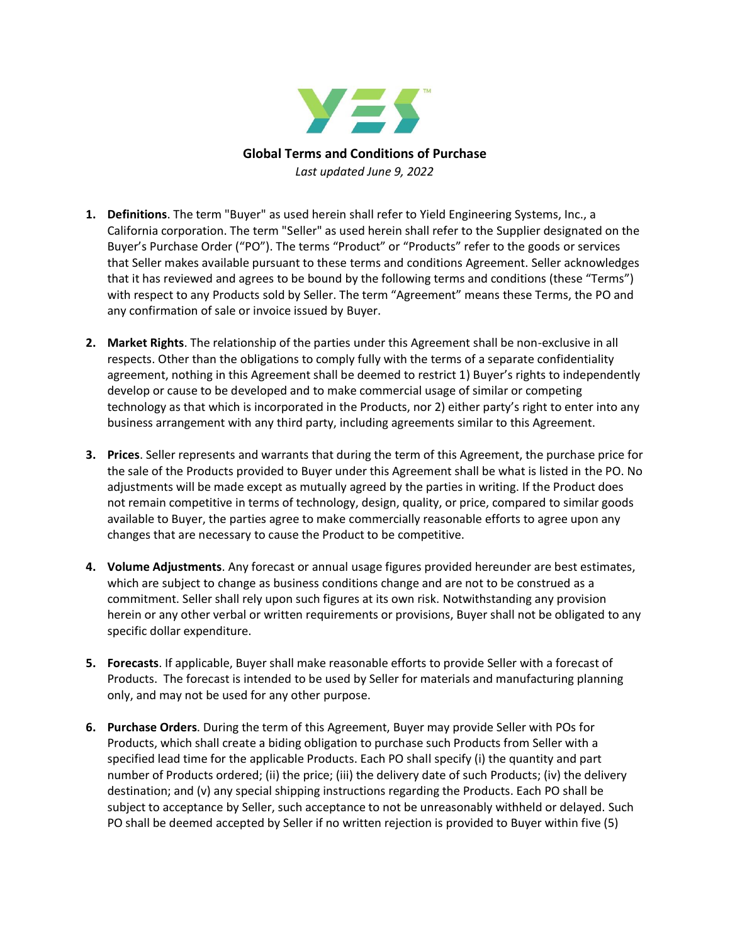

- **1. Definitions**. The term "Buyer" as used herein shall refer to Yield Engineering Systems, Inc., a California corporation. The term "Seller" as used herein shall refer to the Supplier designated on the Buyer's Purchase Order ("PO"). The terms "Product" or "Products" refer to the goods or services that Seller makes available pursuant to these terms and conditions Agreement. Seller acknowledges that it has reviewed and agrees to be bound by the following terms and conditions (these "Terms") with respect to any Products sold by Seller. The term "Agreement" means these Terms, the PO and any confirmation of sale or invoice issued by Buyer.
- **2. Market Rights**. The relationship of the parties under this Agreement shall be non-exclusive in all respects. Other than the obligations to comply fully with the terms of a separate confidentiality agreement, nothing in this Agreement shall be deemed to restrict 1) Buyer's rights to independently develop or cause to be developed and to make commercial usage of similar or competing technology as that which is incorporated in the Products, nor 2) either party's right to enter into any business arrangement with any third party, including agreements similar to this Agreement.
- **3. Prices**. Seller represents and warrants that during the term of this Agreement, the purchase price for the sale of the Products provided to Buyer under this Agreement shall be what is listed in the PO. No adjustments will be made except as mutually agreed by the parties in writing. If the Product does not remain competitive in terms of technology, design, quality, or price, compared to similar goods available to Buyer, the parties agree to make commercially reasonable efforts to agree upon any changes that are necessary to cause the Product to be competitive.
- **4. Volume Adjustments**. Any forecast or annual usage figures provided hereunder are best estimates, which are subject to change as business conditions change and are not to be construed as a commitment. Seller shall rely upon such figures at its own risk. Notwithstanding any provision herein or any other verbal or written requirements or provisions, Buyer shall not be obligated to any specific dollar expenditure.
- **5. Forecasts**. If applicable, Buyer shall make reasonable efforts to provide Seller with a forecast of Products. The forecast is intended to be used by Seller for materials and manufacturing planning only, and may not be used for any other purpose.
- **6. Purchase Orders**. During the term of this Agreement, Buyer may provide Seller with POs for Products, which shall create a biding obligation to purchase such Products from Seller with a specified lead time for the applicable Products. Each PO shall specify (i) the quantity and part number of Products ordered; (ii) the price; (iii) the delivery date of such Products; (iv) the delivery destination; and (v) any special shipping instructions regarding the Products. Each PO shall be subject to acceptance by Seller, such acceptance to not be unreasonably withheld or delayed. Such PO shall be deemed accepted by Seller if no written rejection is provided to Buyer within five (5)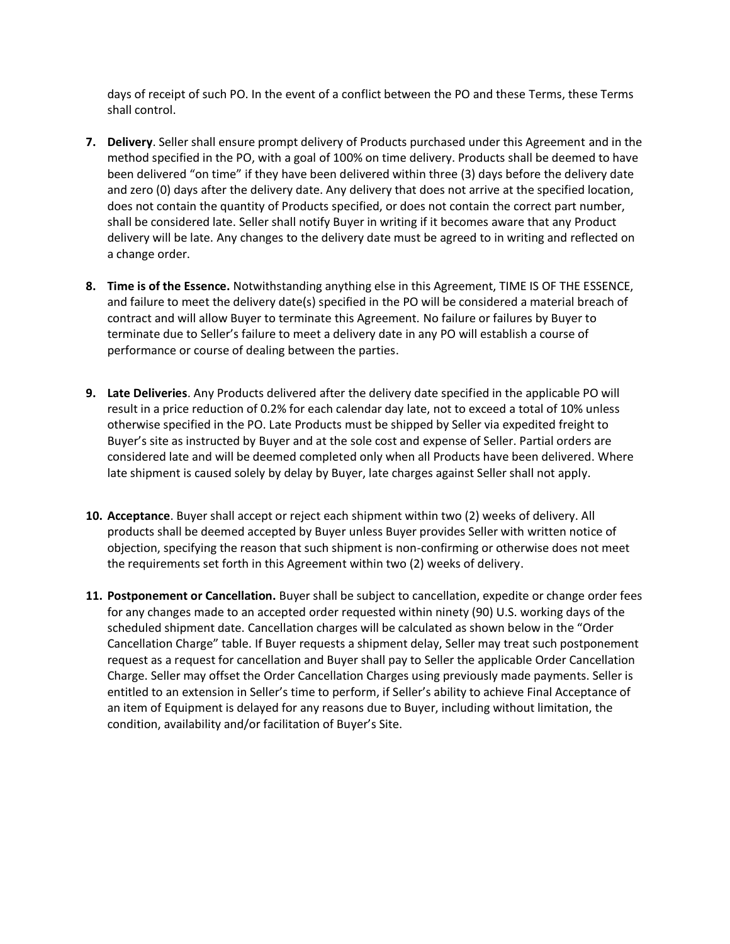days of receipt of such PO. In the event of a conflict between the PO and these Terms, these Terms shall control.

- **7. Delivery**. Seller shall ensure prompt delivery of Products purchased under this Agreement and in the method specified in the PO, with a goal of 100% on time delivery. Products shall be deemed to have been delivered "on time" if they have been delivered within three (3) days before the delivery date and zero (0) days after the delivery date. Any delivery that does not arrive at the specified location, does not contain the quantity of Products specified, or does not contain the correct part number, shall be considered late. Seller shall notify Buyer in writing if it becomes aware that any Product delivery will be late. Any changes to the delivery date must be agreed to in writing and reflected on a change order.
- **8. Time is of the Essence.** Notwithstanding anything else in this Agreement, TIME IS OF THE ESSENCE, and failure to meet the delivery date(s) specified in the PO will be considered a material breach of contract and will allow Buyer to terminate this Agreement. No failure or failures by Buyer to terminate due to Seller's failure to meet a delivery date in any PO will establish a course of performance or course of dealing between the parties.
- **9. Late Deliveries**. Any Products delivered after the delivery date specified in the applicable PO will result in a price reduction of 0.2% for each calendar day late, not to exceed a total of 10% unless otherwise specified in the PO. Late Products must be shipped by Seller via expedited freight to Buyer's site as instructed by Buyer and at the sole cost and expense of Seller. Partial orders are considered late and will be deemed completed only when all Products have been delivered. Where late shipment is caused solely by delay by Buyer, late charges against Seller shall not apply.
- **10. Acceptance**. Buyer shall accept or reject each shipment within two (2) weeks of delivery. All products shall be deemed accepted by Buyer unless Buyer provides Seller with written notice of objection, specifying the reason that such shipment is non-confirming or otherwise does not meet the requirements set forth in this Agreement within two (2) weeks of delivery.
- **11. Postponement or Cancellation.** Buyer shall be subject to cancellation, expedite or change order fees for any changes made to an accepted order requested within ninety (90) U.S. working days of the scheduled shipment date. Cancellation charges will be calculated as shown below in the "Order Cancellation Charge" table. If Buyer requests a shipment delay, Seller may treat such postponement request as a request for cancellation and Buyer shall pay to Seller the applicable Order Cancellation Charge. Seller may offset the Order Cancellation Charges using previously made payments. Seller is entitled to an extension in Seller's time to perform, if Seller's ability to achieve Final Acceptance of an item of Equipment is delayed for any reasons due to Buyer, including without limitation, the condition, availability and/or facilitation of Buyer's Site.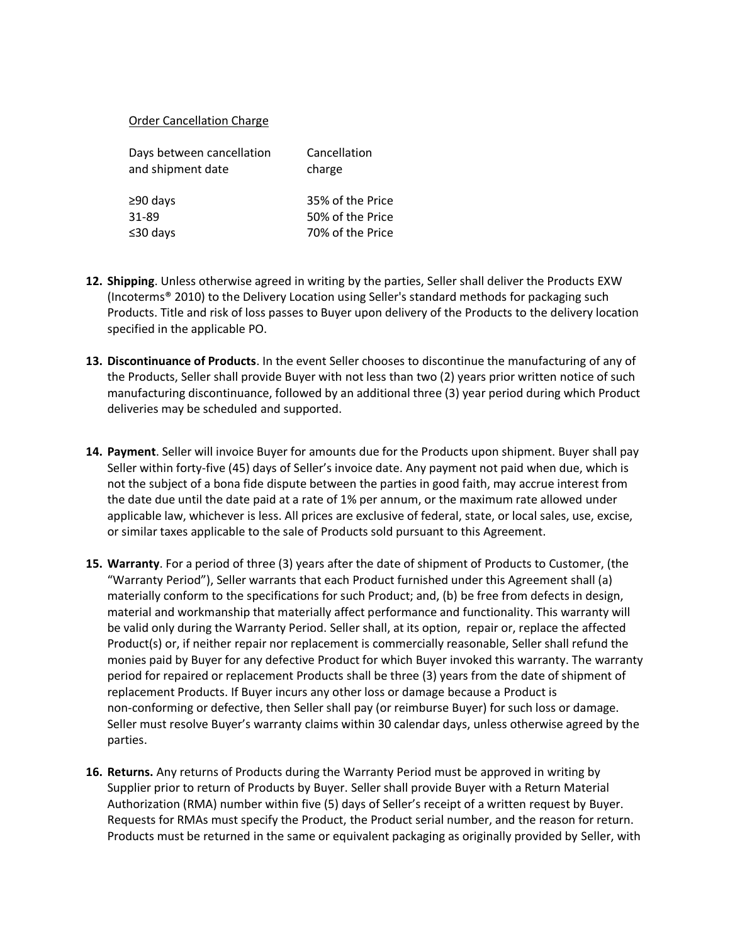## Order Cancellation Charge

| Cancellation<br>charge |
|------------------------|
| 35% of the Price       |
| 50% of the Price       |
| 70% of the Price       |
|                        |

- **12. Shipping**. Unless otherwise agreed in writing by the parties, Seller shall deliver the Products EXW (Incoterms® 2010) to the Delivery Location using Seller's standard methods for packaging such Products. Title and risk of loss passes to Buyer upon delivery of the Products to the delivery location specified in the applicable PO.
- **13. Discontinuance of Products**. In the event Seller chooses to discontinue the manufacturing of any of the Products, Seller shall provide Buyer with not less than two (2) years prior written notice of such manufacturing discontinuance, followed by an additional three (3) year period during which Product deliveries may be scheduled and supported.
- **14. Payment**. Seller will invoice Buyer for amounts due for the Products upon shipment. Buyer shall pay Seller within forty-five (45) days of Seller's invoice date. Any payment not paid when due, which is not the subject of a bona fide dispute between the parties in good faith, may accrue interest from the date due until the date paid at a rate of 1% per annum, or the maximum rate allowed under applicable law, whichever is less. All prices are exclusive of federal, state, or local sales, use, excise, or similar taxes applicable to the sale of Products sold pursuant to this Agreement.
- **15. Warranty**. For a period of three (3) years after the date of shipment of Products to Customer, (the "Warranty Period"), Seller warrants that each Product furnished under this Agreement shall (a) materially conform to the specifications for such Product; and, (b) be free from defects in design, material and workmanship that materially affect performance and functionality. This warranty will be valid only during the Warranty Period. Seller shall, at its option, repair or, replace the affected Product(s) or, if neither repair nor replacement is commercially reasonable, Seller shall refund the monies paid by Buyer for any defective Product for which Buyer invoked this warranty. The warranty period for repaired or replacement Products shall be three (3) years from the date of shipment of replacement Products. If Buyer incurs any other loss or damage because a Product is non-conforming or defective, then Seller shall pay (or reimburse Buyer) for such loss or damage. Seller must resolve Buyer's warranty claims within 30 calendar days, unless otherwise agreed by the parties.
- **16. Returns.** Any returns of Products during the Warranty Period must be approved in writing by Supplier prior to return of Products by Buyer. Seller shall provide Buyer with a Return Material Authorization (RMA) number within five (5) days of Seller's receipt of a written request by Buyer. Requests for RMAs must specify the Product, the Product serial number, and the reason for return. Products must be returned in the same or equivalent packaging as originally provided by Seller, with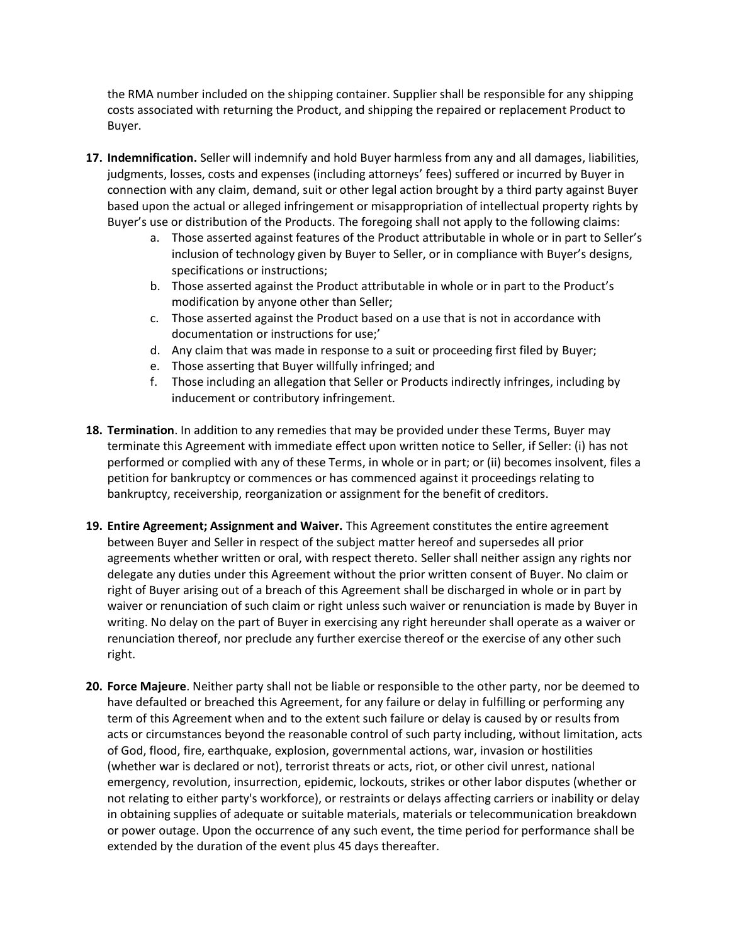the RMA number included on the shipping container. Supplier shall be responsible for any shipping costs associated with returning the Product, and shipping the repaired or replacement Product to Buyer.

- **17. Indemnification.** Seller will indemnify and hold Buyer harmless from any and all damages, liabilities, judgments, losses, costs and expenses (including attorneys' fees) suffered or incurred by Buyer in connection with any claim, demand, suit or other legal action brought by a third party against Buyer based upon the actual or alleged infringement or misappropriation of intellectual property rights by Buyer's use or distribution of the Products. The foregoing shall not apply to the following claims:
	- a. Those asserted against features of the Product attributable in whole or in part to Seller's inclusion of technology given by Buyer to Seller, or in compliance with Buyer's designs, specifications or instructions;
	- b. Those asserted against the Product attributable in whole or in part to the Product's modification by anyone other than Seller;
	- c. Those asserted against the Product based on a use that is not in accordance with documentation or instructions for use;'
	- d. Any claim that was made in response to a suit or proceeding first filed by Buyer;
	- e. Those asserting that Buyer willfully infringed; and
	- f. Those including an allegation that Seller or Products indirectly infringes, including by inducement or contributory infringement.
- **18. Termination**. In addition to any remedies that may be provided under these Terms, Buyer may terminate this Agreement with immediate effect upon written notice to Seller, if Seller: (i) has not performed or complied with any of these Terms, in whole or in part; or (ii) becomes insolvent, files a petition for bankruptcy or commences or has commenced against it proceedings relating to bankruptcy, receivership, reorganization or assignment for the benefit of creditors.
- **19. Entire Agreement; Assignment and Waiver.** This Agreement constitutes the entire agreement between Buyer and Seller in respect of the subject matter hereof and supersedes all prior agreements whether written or oral, with respect thereto. Seller shall neither assign any rights nor delegate any duties under this Agreement without the prior written consent of Buyer. No claim or right of Buyer arising out of a breach of this Agreement shall be discharged in whole or in part by waiver or renunciation of such claim or right unless such waiver or renunciation is made by Buyer in writing. No delay on the part of Buyer in exercising any right hereunder shall operate as a waiver or renunciation thereof, nor preclude any further exercise thereof or the exercise of any other such right.
- **20. Force Majeure**. Neither party shall not be liable or responsible to the other party, nor be deemed to have defaulted or breached this Agreement, for any failure or delay in fulfilling or performing any term of this Agreement when and to the extent such failure or delay is caused by or results from acts or circumstances beyond the reasonable control of such party including, without limitation, acts of God, flood, fire, earthquake, explosion, governmental actions, war, invasion or hostilities (whether war is declared or not), terrorist threats or acts, riot, or other civil unrest, national emergency, revolution, insurrection, epidemic, lockouts, strikes or other labor disputes (whether or not relating to either party's workforce), or restraints or delays affecting carriers or inability or delay in obtaining supplies of adequate or suitable materials, materials or telecommunication breakdown or power outage. Upon the occurrence of any such event, the time period for performance shall be extended by the duration of the event plus 45 days thereafter.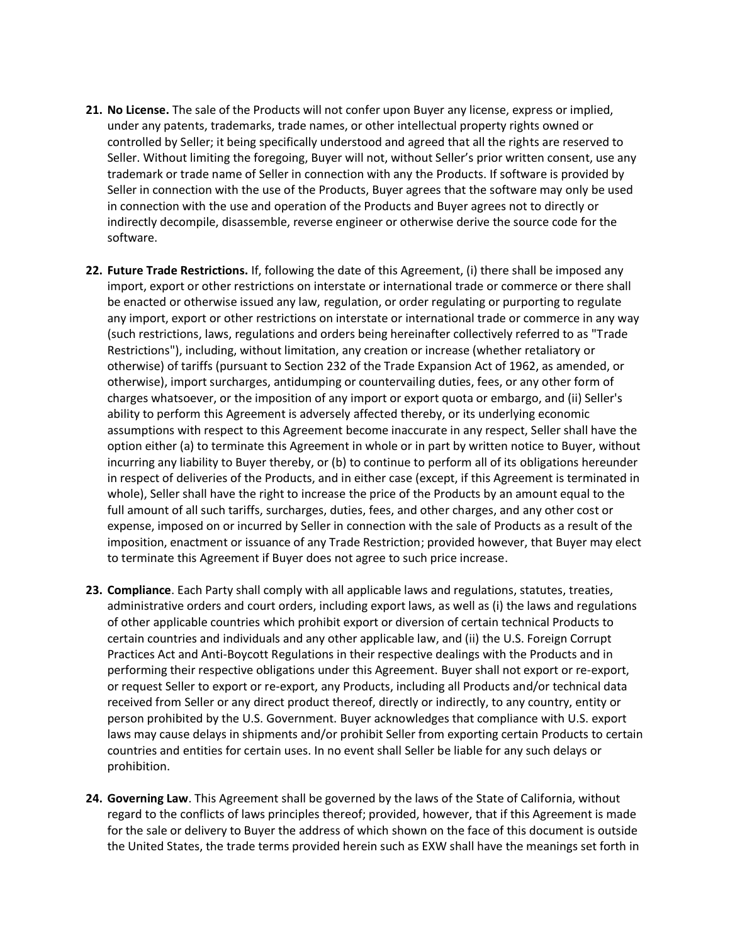- **21. No License.** The sale of the Products will not confer upon Buyer any license, express or implied, under any patents, trademarks, trade names, or other intellectual property rights owned or controlled by Seller; it being specifically understood and agreed that all the rights are reserved to Seller. Without limiting the foregoing, Buyer will not, without Seller's prior written consent, use any trademark or trade name of Seller in connection with any the Products. If software is provided by Seller in connection with the use of the Products, Buyer agrees that the software may only be used in connection with the use and operation of the Products and Buyer agrees not to directly or indirectly decompile, disassemble, reverse engineer or otherwise derive the source code for the software.
- **22. Future Trade Restrictions.** If, following the date of this Agreement, (i) there shall be imposed any import, export or other restrictions on interstate or international trade or commerce or there shall be enacted or otherwise issued any law, regulation, or order regulating or purporting to regulate any import, export or other restrictions on interstate or international trade or commerce in any way (such restrictions, laws, regulations and orders being hereinafter collectively referred to as "Trade Restrictions"), including, without limitation, any creation or increase (whether retaliatory or otherwise) of tariffs (pursuant to Section 232 of the Trade Expansion Act of 1962, as amended, or otherwise), import surcharges, antidumping or countervailing duties, fees, or any other form of charges whatsoever, or the imposition of any import or export quota or embargo, and (ii) Seller's ability to perform this Agreement is adversely affected thereby, or its underlying economic assumptions with respect to this Agreement become inaccurate in any respect, Seller shall have the option either (a) to terminate this Agreement in whole or in part by written notice to Buyer, without incurring any liability to Buyer thereby, or (b) to continue to perform all of its obligations hereunder in respect of deliveries of the Products, and in either case (except, if this Agreement is terminated in whole), Seller shall have the right to increase the price of the Products by an amount equal to the full amount of all such tariffs, surcharges, duties, fees, and other charges, and any other cost or expense, imposed on or incurred by Seller in connection with the sale of Products as a result of the imposition, enactment or issuance of any Trade Restriction; provided however, that Buyer may elect to terminate this Agreement if Buyer does not agree to such price increase.
- **23. Compliance**. Each Party shall comply with all applicable laws and regulations, statutes, treaties, administrative orders and court orders, including export laws, as well as (i) the laws and regulations of other applicable countries which prohibit export or diversion of certain technical Products to certain countries and individuals and any other applicable law, and (ii) the U.S. Foreign Corrupt Practices Act and Anti-Boycott Regulations in their respective dealings with the Products and in performing their respective obligations under this Agreement. Buyer shall not export or re-export, or request Seller to export or re-export, any Products, including all Products and/or technical data received from Seller or any direct product thereof, directly or indirectly, to any country, entity or person prohibited by the U.S. Government. Buyer acknowledges that compliance with U.S. export laws may cause delays in shipments and/or prohibit Seller from exporting certain Products to certain countries and entities for certain uses. In no event shall Seller be liable for any such delays or prohibition.
- **24. Governing Law**. This Agreement shall be governed by the laws of the State of California, without regard to the conflicts of laws principles thereof; provided, however, that if this Agreement is made for the sale or delivery to Buyer the address of which shown on the face of this document is outside the United States, the trade terms provided herein such as EXW shall have the meanings set forth in